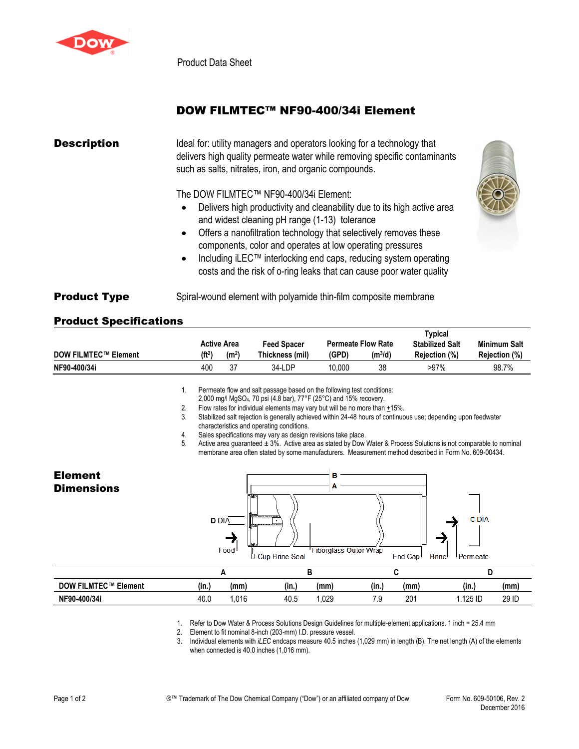

Product Data Sheet

## DOW FILMTEC™ NF90-400/34i Element

| <b>Description</b>  | Ideal for: utility managers and operators looking for a technology that<br>delivers high quality permeate water while removing specific contaminants<br>such as salts, nitrates, iron, and organic compounds.                                                                                                                                                                                                                                                 |
|---------------------|---------------------------------------------------------------------------------------------------------------------------------------------------------------------------------------------------------------------------------------------------------------------------------------------------------------------------------------------------------------------------------------------------------------------------------------------------------------|
|                     | The DOW FILMTEC™ NF90-400/34i Element:<br>Delivers high productivity and cleanability due to its high active area<br>and widest cleaning pH range (1-13) tolerance<br>Offers a nanofiltration technology that selectively removes these<br>components, color and operates at low operating pressures<br>Including iLEC™ interlocking end caps, reducing system operating<br>$\bullet$<br>costs and the risk of o-ring leaks that can cause poor water quality |
| <b>Product Type</b> | Spiral-wound element with polyamide thin-film composite membrane                                                                                                                                                                                                                                                                                                                                                                                              |

## Product Specifications

|                             |                    | <b>Active Area</b> | <b>Feed Spacer</b>                                                                         |        | <b>Permeate Flow Rate</b> | Typical<br><b>Stabilized Salt</b> | <b>Minimum Salt</b>  |
|-----------------------------|--------------------|--------------------|--------------------------------------------------------------------------------------------|--------|---------------------------|-----------------------------------|----------------------|
| <b>DOW FILMTEC™ Element</b> | (ft <sup>2</sup> ) | (m <sup>2</sup> )  | Thickness (mil)                                                                            | (GPD)  | $(m^3/d)$                 | <b>Rejection (%)</b>              | <b>Rejection (%)</b> |
| NF90-400/34i                | 400                | 37                 | 34-LDP                                                                                     | 10.000 | 38                        | $>97\%$                           | 98.7%                |
|                             |                    |                    | المعطائلة والمستطيعات والمستارية المتألف والمستحدث والمستحدث والمستحدث والمستحدث والمستحدث |        |                           |                                   |                      |

1. Permeate flow and salt passage based on the following test conditions:

2,000 mg/l MgSO4, 70 psi (4.8 bar), 77°F (25°C) and 15% recovery.

2. Flow rates for individual elements may vary but will be no more than  $+15\%$ .

3. Stabilized salt rejection is generally achieved within 24-48 hours of continuous use; depending upon feedwater characteristics and operating conditions.

4. Sales specifications may vary as design revisions take place.<br>5. Active area quaranteed  $\pm 3\%$ . Active area as stated by Dow \

Active area guaranteed ± 3%. Active area as stated by Dow Water & Process Solutions is not comparable to nominal membrane area often stated by some manufacturers. Measurement method described in Form No. 609-00434.

| <b>Element</b><br><b>Dimensions</b> | в<br>門飯<br><b>Althousances</b><br><b>D</b> DIA<br><b>State Communication</b><br>山松<br>Feed<br>U-Cup Brine Seal |        |       | <b>C</b> DIA<br><b>Fiberglass Outer Wrap</b><br>End Cap <sup>1</sup><br><b>Brine</b><br>Permeate |       |      |          |       |  |
|-------------------------------------|----------------------------------------------------------------------------------------------------------------|--------|-------|--------------------------------------------------------------------------------------------------|-------|------|----------|-------|--|
|                                     |                                                                                                                | в<br>A |       |                                                                                                  | C     |      | D        |       |  |
| <b>DOW FILMTEC™ Element</b>         | (in.)                                                                                                          | (mm)   | (in.) | (mm)                                                                                             | (in.) | (mm) | (in.)    | (mm)  |  |
| NF90-400/34i                        | 40.0                                                                                                           | 1,016  | 40.5  | 1,029                                                                                            | 7.9   | 201  | 1.125 ID | 29 ID |  |

1. Refer to Dow Water & Process Solutions Design Guidelines for multiple-element applications. 1 inch = 25.4 mm

2. Element to fit nominal 8-inch (203-mm) I.D. pressure vessel.

3. Individual elements with *iLEC* endcaps measure 40.5 inches (1,029 mm) in length (B). The net length (A) of the elements when connected is 40.0 inches (1,016 mm).